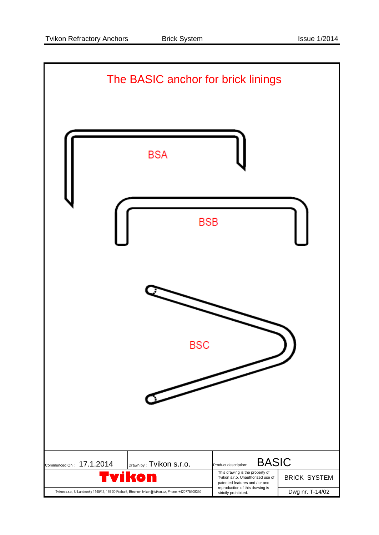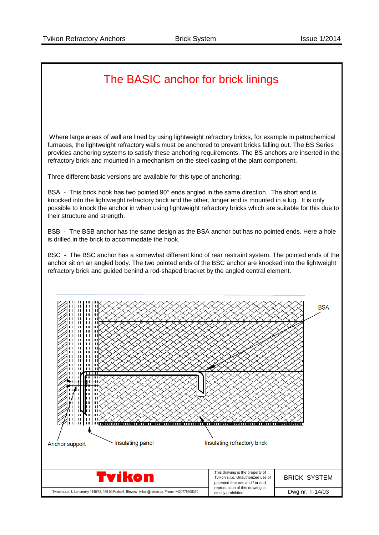## The BASIC anchor for brick linings Where large areas of wall are lined by using lightweight refractory bricks, for example in petrochemical furnaces, the lightweight refractory walls must be anchored to prevent bricks falling out. The BS Series provides anchoring systems to satisfy these anchoring requirements. The BS anchors are inserted in the refractory brick and mounted in a mechanism on the steel casing of the plant component. Three different basic versions are available for this type of anchoring: BSA - This brick hook has two pointed 90° ends angled in the same direction. The short end is knocked into the lightweight refractory brick and the other, longer end is mounted in a lug. It is only possible to knock the anchor in when using lightweight refractory bricks which are suitable for this due to their structure and strength. BSB - The BSB anchor has the same design as the BSA anchor but has no pointed ends. Here a hole is drilled in the brick to accommodate the hook. BSC - The BSC anchor has a somewhat different kind of rear restraint system. The pointed ends of the anchor sit on an angled body. The two pointed ends of the BSC anchor are knocked into the lightweight refractory brick and guided behind a rod-shaped bracket by the angled central element.**BSA** Insulating panel Insulating refractory brick Anchor support This drawing is the property of<br>Tvikon s.r.o. Unauthorized use Tvikon s.r.o. Unauthorized use of BRICK SYSTEM patented features and / or and reproduction of this drawing is Tvikon s.r.o., U Landronky 1145/42, 169 00 Praha 6, Břevnov, tvikon@tvikon.cz, Phone: +420775908330 Bush curbot of unis of antichty or oblibited. strictly prohibited.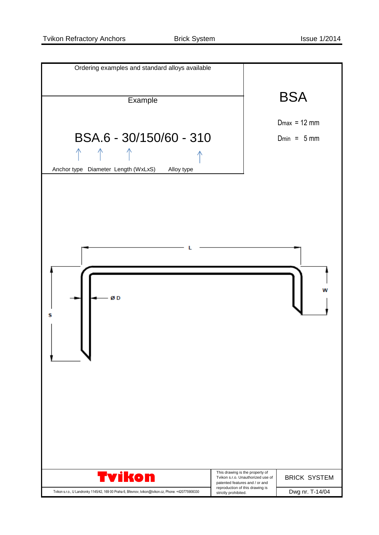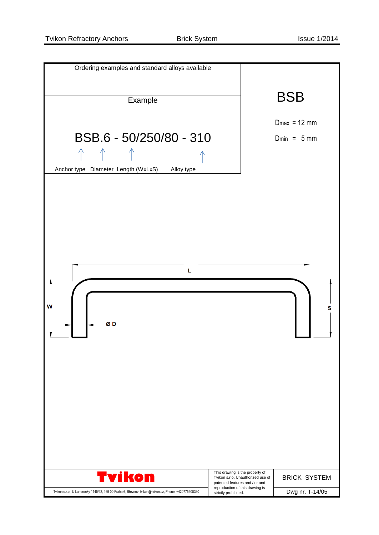| Ordering examples and standard alloys available                                                     |                                                                      |                     |
|-----------------------------------------------------------------------------------------------------|----------------------------------------------------------------------|---------------------|
|                                                                                                     |                                                                      |                     |
| Example                                                                                             |                                                                      | <b>BSB</b>          |
|                                                                                                     |                                                                      |                     |
|                                                                                                     |                                                                      | $Dmax = 12$ mm      |
| BSB.6 - 50/250/80 - 310                                                                             |                                                                      | $Dmin = 5 mm$       |
|                                                                                                     |                                                                      |                     |
|                                                                                                     |                                                                      |                     |
| Anchor type Diameter Length (WxLxS)<br>Alloy type                                                   |                                                                      |                     |
|                                                                                                     |                                                                      |                     |
|                                                                                                     |                                                                      |                     |
|                                                                                                     |                                                                      |                     |
|                                                                                                     |                                                                      |                     |
|                                                                                                     |                                                                      |                     |
|                                                                                                     |                                                                      |                     |
|                                                                                                     |                                                                      |                     |
| L                                                                                                   |                                                                      |                     |
|                                                                                                     |                                                                      |                     |
|                                                                                                     |                                                                      |                     |
| W                                                                                                   |                                                                      | s                   |
|                                                                                                     |                                                                      |                     |
| ØD                                                                                                  |                                                                      |                     |
|                                                                                                     |                                                                      |                     |
|                                                                                                     |                                                                      |                     |
|                                                                                                     |                                                                      |                     |
|                                                                                                     |                                                                      |                     |
|                                                                                                     |                                                                      |                     |
|                                                                                                     |                                                                      |                     |
|                                                                                                     |                                                                      |                     |
|                                                                                                     |                                                                      |                     |
|                                                                                                     |                                                                      |                     |
|                                                                                                     |                                                                      |                     |
|                                                                                                     |                                                                      |                     |
| <b>Tvikon</b>                                                                                       | This drawing is the property of<br>Tvikon s.r.o. Unauthorized use of | <b>BRICK SYSTEM</b> |
|                                                                                                     | patented features and / or and<br>reproduction of this drawing is    |                     |
| Tvikon s.r.o., U Landronky 1145/42, 169 00 Praha 6, Břevnov, tvikon@tvikon.cz, Phone: +420775908330 | strictly prohibited.                                                 | Dwg nr. T-14/05     |